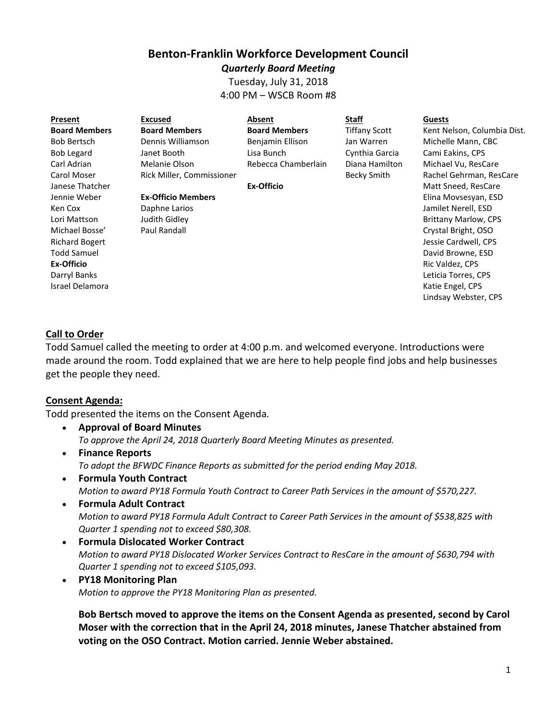# **Benton-Franklin Workforce Development Council**

*Quarterly Board Meeting* Tuesday, July 31, 2018 4:00 PM – WSCB Room #8

| Present              | <b>Excused</b>            | Absent               | <b>Staff</b>         | <b>Guests</b> |
|----------------------|---------------------------|----------------------|----------------------|---------------|
| <b>Board Members</b> | <b>Board Members</b>      | <b>Board Members</b> | <b>Tiffany Scott</b> | Kent N        |
| <b>Bob Bertsch</b>   | Dennis Williamson         | Benjamin Ellison     | Jan Warren           | Michel        |
| <b>Bob Legard</b>    | Janet Booth               | Lisa Bunch           | Cynthia Garcia       | Cami E        |
| Carl Adrian          | Melanie Olson             | Rebecca Chamberlain  | Diana Hamilton       | Michae        |
| Carol Moser          | Rick Miller, Commissioner |                      | Becky Smith          | Rachel        |
| Janese Thatcher      |                           | <b>Ex-Officio</b>    |                      | Matt S        |
| Jennie Weber         | <b>Ex-Officio Members</b> |                      |                      | Flina M       |

Kent Nelson, Columbia Dist. Michelle Mann, CBC Cami Eakins, CPS Michael Vu, ResCare Rachel Gehrman, ResCare Matt Sneed, ResCare Elina Movsesyan, ESD Jamilet Nerell, ESD Brittany Marlow, CPS Crystal Bright, OSO Jessie Cardwell, CPS David Browne, ESD Ric Valdez, CPS Leticia Torres, CPS Katie Engel, CPS Lindsay Webster, CPS

#### **Call to Order**

Ken Cox Lori Mattson Michael Bosse' Richard Bogert Todd Samuel **Ex-Officio** Darryl Banks Israel Delamora

Todd Samuel called the meeting to order at 4:00 p.m. and welcomed everyone. Introductions were made around the room. Todd explained that we are here to help people find jobs and help businesses get the people they need.

#### **Consent Agenda:**

Todd presented the items on the Consent Agenda.

Daphne Larios Judith Gidley Paul Randall

- **Approval of Board Minutes** *To approve the April 24, 2018 Quarterly Board Meeting Minutes as presented.*
- **Finance Reports** *To adopt the BFWDC Finance Reports as submitted for the period ending May 2018.*
- **Formula Youth Contract** *Motion to award PY18 Formula Youth Contract to Career Path Services in the amount of \$570,227.*
- **Formula Adult Contract** *Motion to award PY18 Formula Adult Contract to Career Path Services in the amount of \$538,825 with Quarter 1 spending not to exceed \$80,308.*
- **Formula Dislocated Worker Contract** *Motion to award PY18 Dislocated Worker Services Contract to ResCare in the amount of \$630,794 with Quarter 1 spending not to exceed \$105,093.*
- **PY18 Monitoring Plan** *Motion to approve the PY18 Monitoring Plan as presented.*

**Bob Bertsch moved to approve the items on the Consent Agenda as presented, second by Carol Moser with the correction that in the April 24, 2018 minutes, Janese Thatcher abstained from voting on the OSO Contract. Motion carried. Jennie Weber abstained.**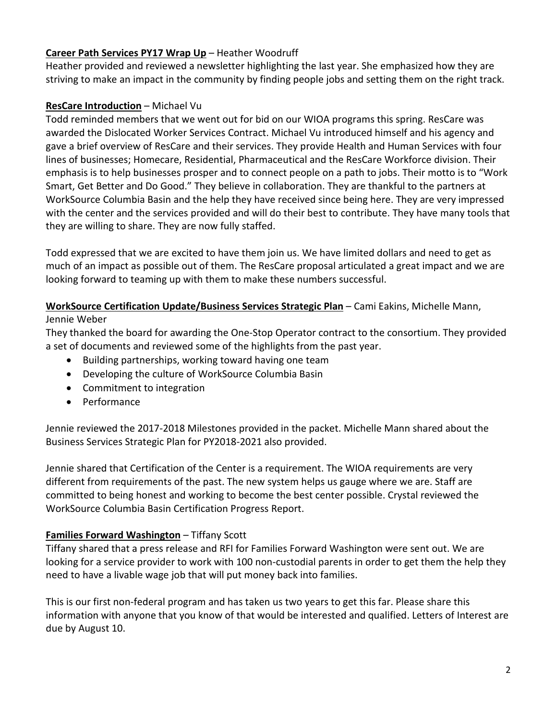# **Career Path Services PY17 Wrap Up** – Heather Woodruff

Heather provided and reviewed a newsletter highlighting the last year. She emphasized how they are striving to make an impact in the community by finding people jobs and setting them on the right track.

# **ResCare Introduction** – Michael Vu

Todd reminded members that we went out for bid on our WIOA programs this spring. ResCare was awarded the Dislocated Worker Services Contract. Michael Vu introduced himself and his agency and gave a brief overview of ResCare and their services. They provide Health and Human Services with four lines of businesses; Homecare, Residential, Pharmaceutical and the ResCare Workforce division. Their emphasis is to help businesses prosper and to connect people on a path to jobs. Their motto is to "Work Smart, Get Better and Do Good." They believe in collaboration. They are thankful to the partners at WorkSource Columbia Basin and the help they have received since being here. They are very impressed with the center and the services provided and will do their best to contribute. They have many tools that they are willing to share. They are now fully staffed.

Todd expressed that we are excited to have them join us. We have limited dollars and need to get as much of an impact as possible out of them. The ResCare proposal articulated a great impact and we are looking forward to teaming up with them to make these numbers successful.

#### **WorkSource Certification Update/Business Services Strategic Plan** – Cami Eakins, Michelle Mann, Jennie Weber

They thanked the board for awarding the One-Stop Operator contract to the consortium. They provided a set of documents and reviewed some of the highlights from the past year.

- Building partnerships, working toward having one team
- Developing the culture of WorkSource Columbia Basin
- Commitment to integration
- Performance

Jennie reviewed the 2017-2018 Milestones provided in the packet. Michelle Mann shared about the Business Services Strategic Plan for PY2018-2021 also provided.

Jennie shared that Certification of the Center is a requirement. The WIOA requirements are very different from requirements of the past. The new system helps us gauge where we are. Staff are committed to being honest and working to become the best center possible. Crystal reviewed the WorkSource Columbia Basin Certification Progress Report.

# **Families Forward Washington** – Tiffany Scott

Tiffany shared that a press release and RFI for Families Forward Washington were sent out. We are looking for a service provider to work with 100 non-custodial parents in order to get them the help they need to have a livable wage job that will put money back into families.

This is our first non-federal program and has taken us two years to get this far. Please share this information with anyone that you know of that would be interested and qualified. Letters of Interest are due by August 10.